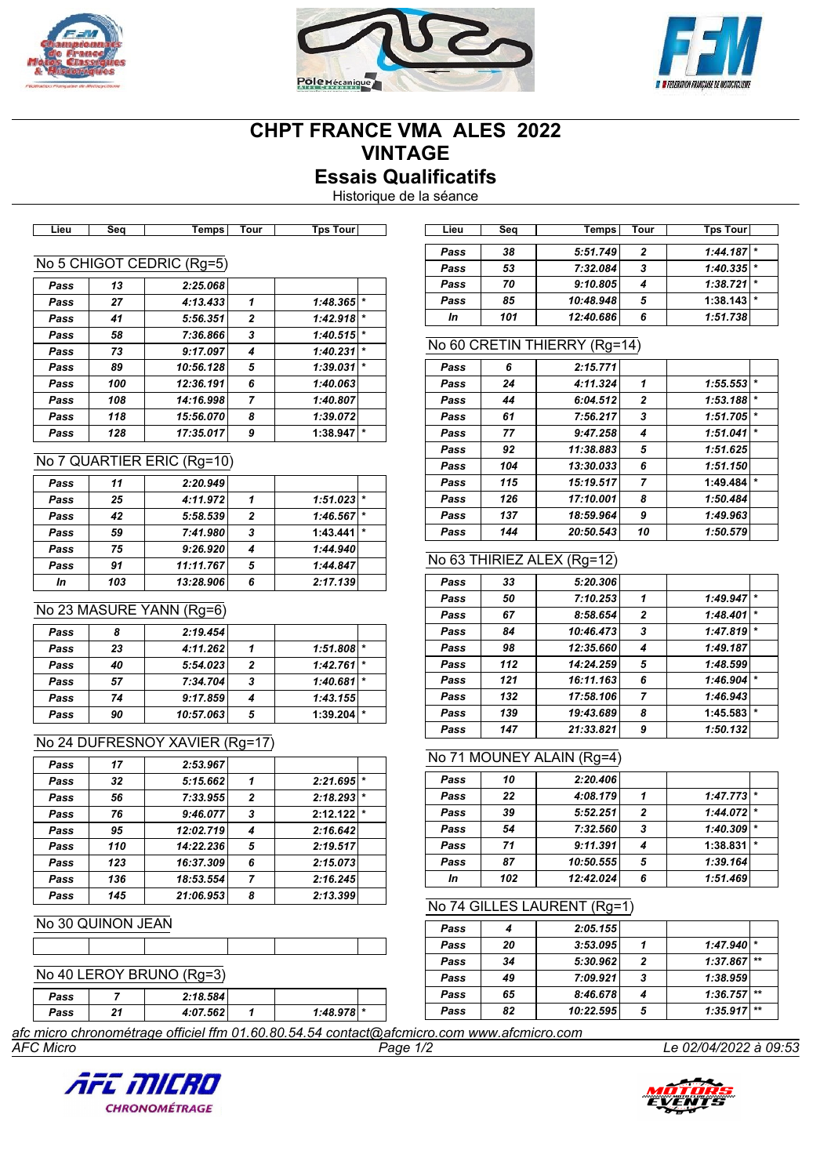





# **CHPT FRANCE VMA ALES 2022 VINTAGE Essais Qualificatifs**

Historique de la séance

|      |     | . <b>.</b>                |                | . <b>.</b> |         |
|------|-----|---------------------------|----------------|------------|---------|
|      |     |                           |                |            |         |
|      |     | No 5 CHIGOT CEDRIC (Rg=5) |                |            |         |
| Pass | 13  | 2:25.068                  |                |            |         |
| Pass | 27  | 4:13.433                  | 1              | 1:48.365   | $\star$ |
| Pass | 41  | 5:56.351                  | $\overline{2}$ | 1:42.918   | $\star$ |
| Pass | 58  | 7:36.866                  | 3              | 1:40.515   | $\star$ |
| Pass | 73  | 9:17.097                  | 4              | 1:40.231   | $\star$ |
| Pass | 89  | 10:56.128                 | 5              | 1:39.031   | $\star$ |
| Pass | 100 | 12:36.191                 | 6              | 1:40.063   |         |
| Pass | 108 | 14:16.998                 | 7              | 1:40.807   |         |
| Pass | 118 | 15:56.070                 | 8              | 1:39.072   |         |
| Pass | 128 | 17:35.017                 | 9              | 1:38.947   | $\star$ |
|      |     |                           |                |            |         |

### No 7 QUARTIER ERIC (Rg=10)

| Pass | 11  | 2:20.949  |   |          |         |
|------|-----|-----------|---|----------|---------|
| Pass | 25  | 4:11.972  |   | 1:51.023 | $\star$ |
| Pass | 42  | 5:58.539  | 2 | 1:46.567 |         |
| Pass | 59  | 7:41.980  | 3 | 1:43.441 |         |
| Pass | 75  | 9:26.920  |   | 1:44.940 |         |
| Pass | 91  | 11:11.767 | 5 | 1:44.847 |         |
| In   | 103 | 13:28.906 | 6 | 2:17.139 |         |

### No 23 MASURE YANN (Rg=6)

| Pass |    | 2:19.454  |   |              |   |
|------|----|-----------|---|--------------|---|
| Pass | 23 | 4:11.262  |   | $1:51.808$ * |   |
| Pass | 40 | 5:54.023  | 2 | $1:42.761$ * |   |
| Pass | 57 | 7:34.704  | 3 | $1:40.681$ * |   |
| Pass | 74 | 9:17.859  |   | 1:43.155     |   |
| Pass | 90 | 10:57.063 | 5 | 1:39.204     | * |

## No 24 DUFRESNOY XAVIER (Rg=17)

| Pass | 17  | 2:53.967  |              |          |  |
|------|-----|-----------|--------------|----------|--|
| Pass | 32  | 5:15.662  |              | 2:21.695 |  |
| Pass | 56  | 7:33.955  | $\mathbf{2}$ | 2:18.293 |  |
| Pass | 76  | 9:46.077  | 3            | 2:12.122 |  |
| Pass | 95  | 12:02.719 |              | 2:16.642 |  |
| Pass | 110 | 14:22.236 | 5            | 2:19.517 |  |
| Pass | 123 | 16:37.309 | 6            | 2:15.073 |  |
| Pass | 136 | 18:53.554 | 7            | 2:16.245 |  |
| Pass | 145 | 21:06.953 | 8            | 2:13.399 |  |

## No 30 QUINON JEAN

## No 40 LEROY BRUNO (Rg=3)

| Pass                                                                                                                                                                                                   |     | 2:18.584 |  |                |  |  |  |
|--------------------------------------------------------------------------------------------------------------------------------------------------------------------------------------------------------|-----|----------|--|----------------|--|--|--|
| Pass                                                                                                                                                                                                   | - 1 | 4:07.562 |  | $1:48.978$ $*$ |  |  |  |
| $\mathcal{L}_{\text{free}}$ and $\mathcal{L}_{\text{free}}$ and $\mathcal{L}_{\text{free}}$ and $\mathcal{L}_{\text{free}}$ and $\mathcal{L}_{\text{free}}$ and $\mathcal{L}_{\text{free}}$<br>------- |     |          |  |                |  |  |  |

**Lieu Seq Temps Tour Tps Tour Lieu Seq Temps Tour Tps Tour** *Pass 38 5:51.749 2 1:44.187 \* Pass 53 7:32.084 3 1:40.335 \* Pass 70 9:10.805 4 1:38.721 \* Pass 85 10:48.948 5* **1:38.143** *\* In 101 12:40.686 6 1:51.738*

### No 60 CRETIN THIERRY (Rg=14)

| Pass | 6   | 2:15.771  |                |          |         |
|------|-----|-----------|----------------|----------|---------|
| Pass | 24  | 4:11.324  | 1              | 1:55.553 | $\star$ |
| Pass | 44  | 6:04.512  | $\mathbf{2}$   | 1:53.188 | $\star$ |
| Pass | 61  | 7:56.217  | 3              | 1:51.705 | $\star$ |
| Pass | 77  | 9:47.258  | 4              | 1:51.041 | $\star$ |
| Pass | 92  | 11:38.883 | 5              | 1:51.625 |         |
| Pass | 104 | 13:30.033 | 6              | 1:51.150 |         |
| Pass | 115 | 15:19.517 | $\overline{7}$ | 1:49.484 | $\star$ |
| Pass | 126 | 17:10.001 | 8              | 1:50.484 |         |
| Pass | 137 | 18:59.964 | 9              | 1:49.963 |         |
| Pass | 144 | 20:50.543 | 10             | 1:50.579 |         |

## No 63 THIRIEZ ALEX (Rg=12)

| Pass | 33  | 5:20.306  |                |          |         |
|------|-----|-----------|----------------|----------|---------|
| Pass | 50  | 7:10.253  | 1              | 1:49.947 | $\star$ |
| Pass | 67  | 8:58.654  | $\mathbf{2}$   | 1:48.401 | $\star$ |
| Pass | 84  | 10:46.473 | 3              | 1:47.819 | $\star$ |
| Pass | 98  | 12:35.660 | 4              | 1:49.187 |         |
| Pass | 112 | 14:24.259 | 5              | 1:48.599 |         |
| Pass | 121 | 16:11.163 | 6              | 1:46.904 | $\star$ |
| Pass | 132 | 17:58.106 | $\overline{7}$ | 1:46.943 |         |
| Pass | 139 | 19:43.689 | 8              | 1:45.583 | $\star$ |
| Pass | 147 | 21:33.821 | 9              | 1:50.132 |         |

### No 71 MOUNEY ALAIN (Rg=4)

| Pass | 10  | 2:20.406  |   |          |         |
|------|-----|-----------|---|----------|---------|
| Pass | 22  | 4:08.179  |   | 1:47.773 |         |
| Pass | 39  | 5:52.251  | 2 | 1:44.072 |         |
| Pass | 54  | 7:32.560  | 3 | 1:40.309 | $\star$ |
| Pass | 71  | 9:11.391  |   | 1:38.831 |         |
| Pass | 87  | 10:50.555 | 5 | 1:39.164 |         |
| In   | 102 | 12:42.024 | 6 | 1:51.469 |         |

### No 74 GILLES LAURENT (Rg=1)

| Pass |    | 2:05.155  |   |               |  |
|------|----|-----------|---|---------------|--|
| Pass | 20 | 3:53.095  |   | $1:47.940$ *  |  |
| Pass | 34 | 5:30.962  | 2 | $1:37.867$ ** |  |
| Pass | 49 | 7:09.921  | 3 | 1:38.959      |  |
| Pass | 65 | 8:46.678  |   | $1:36.757$ ** |  |
| Pass | 82 | 10:22.595 | 5 | $1:35.917$ ** |  |

*AFC Micro Page 1/2 Le 02/04/2022 à 09:53 afc micro chronométrage officiel ffm 01.60.80.54.54 contact@afcmicro.com www.afcmicro.com*